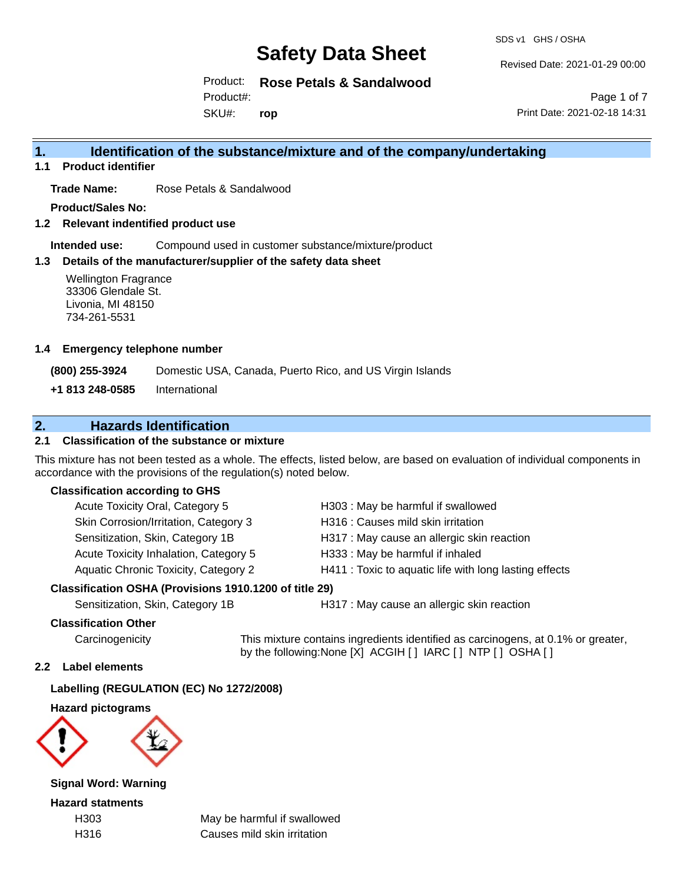SDS v1 GHS / OSHA

Revised Date: 2021-01-29 00:00

Product: **Rose Petals & Sandalwood**

Product#:

SKU#: **rop**

Page 1 of 7 Print Date: 2021-02-18 14:31

# **1. Identification of the substance/mixture and of the company/undertaking**

**1.1 Product identifier**

**Trade Name:** Rose Petals & Sandalwood

**Product/Sales No:**

**1.2 Relevant indentified product use**

**Intended use:** Compound used in customer substance/mixture/product

#### **1.3 Details of the manufacturer/supplier of the safety data sheet**

Wellington Fragrance 33306 Glendale St. Livonia, MI 48150 734-261-5531

#### **1.4 Emergency telephone number**

**(800) 255-3924** Domestic USA, Canada, Puerto Rico, and US Virgin Islands

**+1 813 248-0585** International

# **2. Hazards Identification**

### **2.1 Classification of the substance or mixture**

This mixture has not been tested as a whole. The effects, listed below, are based on evaluation of individual components in accordance with the provisions of the regulation(s) noted below.

#### **Classification according to GHS**

| Acute Toxicity Oral, Category 5                     | H303: May be harmful if swallowed                      |
|-----------------------------------------------------|--------------------------------------------------------|
| Skin Corrosion/Irritation, Category 3               | H316 : Causes mild skin irritation                     |
| Sensitization, Skin, Category 1B                    | H317 : May cause an allergic skin reaction             |
| Acute Toxicity Inhalation, Category 5               | H333: May be harmful if inhaled                        |
| <b>Aquatic Chronic Toxicity, Category 2</b>         | H411 : Toxic to aquatic life with long lasting effects |
| ssification OSHA (Provisions 1910.1200 of title 29) |                                                        |

### **Classification OSHA (Provisions 1910.1200 of title 29)**

Sensitization, Skin, Category 1B **H317** : May cause an allergic skin reaction

#### **Classification Other**

Carcinogenicity This mixture contains ingredients identified as carcinogens, at 0.1% or greater, by the following:None [X] ACGIH [ ] IARC [ ] NTP [ ] OSHA [ ]

#### **2.2 Label elements**

#### **Labelling (REGULATION (EC) No 1272/2008)**

**Hazard pictograms**



**Signal Word: Warning**

**Hazard statments**

H303 May be harmful if swallowed H316 Causes mild skin irritation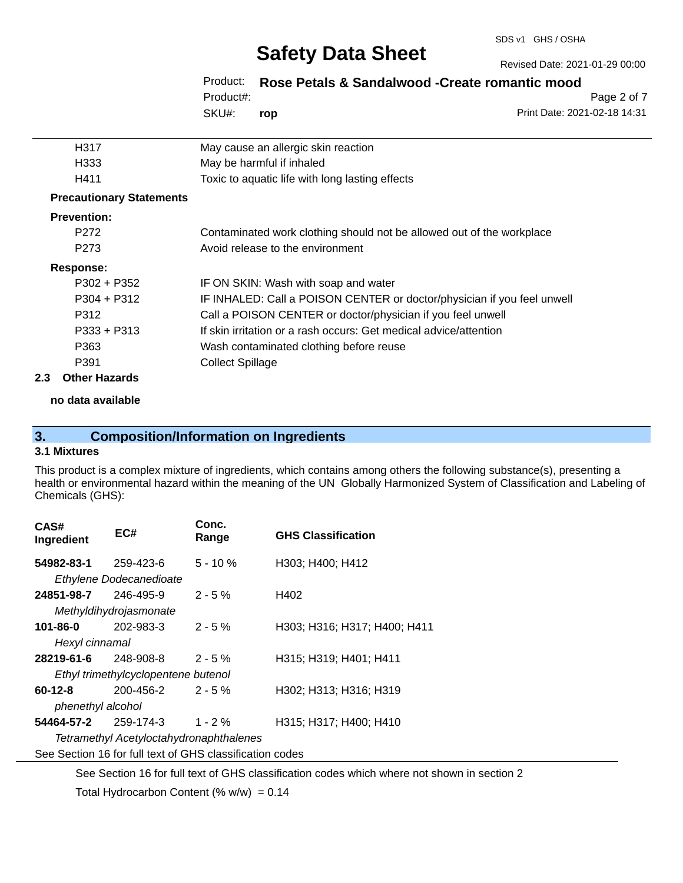Revised Date: 2021-01-29 00:00

# **Safety Data Sheet**

| Product:  |     | Rose Petals & Sandalwood - Create romantic mood |             |
|-----------|-----|-------------------------------------------------|-------------|
| Product#: |     |                                                 | Page 2 of 7 |
| SKU#:     | rop | Print Date: 2021-02-18 14:31                    |             |

| H317                            | May cause an allergic skin reaction                                     |
|---------------------------------|-------------------------------------------------------------------------|
| H333                            | May be harmful if inhaled                                               |
| H411                            | Toxic to aquatic life with long lasting effects                         |
| <b>Precautionary Statements</b> |                                                                         |
| <b>Prevention:</b>              |                                                                         |
| P <sub>272</sub>                | Contaminated work clothing should not be allowed out of the workplace   |
| P <sub>273</sub>                | Avoid release to the environment                                        |
| Response:                       |                                                                         |
| $P302 + P352$                   | IF ON SKIN: Wash with soap and water                                    |
| $P304 + P312$                   | IF INHALED: Call a POISON CENTER or doctor/physician if you feel unwell |
| P312                            | Call a POISON CENTER or doctor/physician if you feel unwell             |
| $P333 + P313$                   | If skin irritation or a rash occurs: Get medical advice/attention       |
| P363                            | Wash contaminated clothing before reuse                                 |
| P391                            | <b>Collect Spillage</b>                                                 |
| Other Hazarde                   |                                                                         |

# **2.3 Other Hazards**

**no data available**

# **3. Composition/Information on Ingredients**

#### **3.1 Mixtures**

This product is a complex mixture of ingredients, which contains among others the following substance(s), presenting a health or environmental hazard within the meaning of the UN Globally Harmonized System of Classification and Labeling of Chemicals (GHS):

| CAS#<br>Ingredient                                       | EC#                     | Conc.<br>Range | <b>GHS Classification</b>    |  |
|----------------------------------------------------------|-------------------------|----------------|------------------------------|--|
| 54982-83-1                                               | 259-423-6               | $5 - 10 \%$    | H303; H400; H412             |  |
|                                                          | Ethylene Dodecanedioate |                |                              |  |
| 24851-98-7                                               | 246-495-9               | $2 - 5%$       | H402                         |  |
|                                                          | Methyldihydrojasmonate  |                |                              |  |
| 101-86-0                                                 | 202-983-3               | $2 - 5%$       | H303; H316; H317; H400; H411 |  |
| Hexyl cinnamal                                           |                         |                |                              |  |
| 28219-61-6                                               | 248-908-8               | $2 - 5%$       | H315; H319; H401; H411       |  |
| Ethyl trimethylcyclopentene butenol                      |                         |                |                              |  |
| 60-12-8                                                  | 200-456-2               | $2 - 5 \%$     | H302; H313; H316; H319       |  |
| phenethyl alcohol                                        |                         |                |                              |  |
| 54464-57-2                                               | 259-174-3               | $1 - 2 \%$     | H315; H317; H400; H410       |  |
| Tetramethyl Acetyloctahydronaphthalenes                  |                         |                |                              |  |
| See Section 16 for full text of GHS classification codes |                         |                |                              |  |

See Section 16 for full text of GHS classification codes which where not shown in section 2

Total Hydrocarbon Content (%  $w/w$ ) = 0.14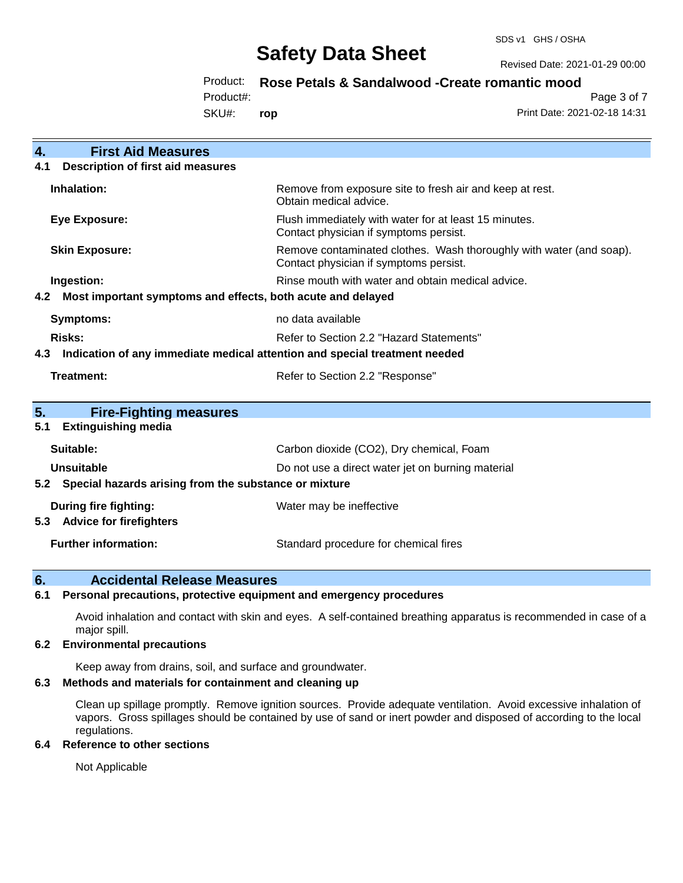Revised Date: 2021-01-29 00:00

Product: **Rose Petals & Sandalwood -Create romantic mood**

Product#:

SKU#: **rop**

Page 3 of 7 Print Date: 2021-02-18 14:31

| <b>First Aid Measures</b><br>4.                                                   |                                                                                                               |  |  |
|-----------------------------------------------------------------------------------|---------------------------------------------------------------------------------------------------------------|--|--|
| <b>Description of first aid measures</b><br>4.1                                   |                                                                                                               |  |  |
| Inhalation:                                                                       | Remove from exposure site to fresh air and keep at rest.<br>Obtain medical advice.                            |  |  |
| <b>Eye Exposure:</b>                                                              | Flush immediately with water for at least 15 minutes.<br>Contact physician if symptoms persist.               |  |  |
| <b>Skin Exposure:</b>                                                             | Remove contaminated clothes. Wash thoroughly with water (and soap).<br>Contact physician if symptoms persist. |  |  |
| Ingestion:                                                                        | Rinse mouth with water and obtain medical advice.                                                             |  |  |
| Most important symptoms and effects, both acute and delayed<br>4.2                |                                                                                                               |  |  |
| Symptoms:                                                                         | no data available                                                                                             |  |  |
| Risks:                                                                            | Refer to Section 2.2 "Hazard Statements"                                                                      |  |  |
| Indication of any immediate medical attention and special treatment needed<br>4.3 |                                                                                                               |  |  |
| Treatment:                                                                        | Refer to Section 2.2 "Response"                                                                               |  |  |
| 5.<br><b>Fire-Fighting measures</b>                                               |                                                                                                               |  |  |
| <b>Extinguishing media</b><br>5.1                                                 |                                                                                                               |  |  |
| Suitable:                                                                         | Carbon dioxide (CO2), Dry chemical, Foam                                                                      |  |  |
| Unsuitable                                                                        | Do not use a direct water jet on burning material                                                             |  |  |
| 5.2 Special hazards arising from the substance or mixture                         |                                                                                                               |  |  |
| During fire fighting:<br>5.3 Advice for firefighters                              | Water may be ineffective                                                                                      |  |  |
| <b>Further information:</b>                                                       | Standard procedure for chemical fires                                                                         |  |  |

### **6. Accidental Release Measures**

### **6.1 Personal precautions, protective equipment and emergency procedures**

Avoid inhalation and contact with skin and eyes. A self-contained breathing apparatus is recommended in case of a major spill.

#### **6.2 Environmental precautions**

Keep away from drains, soil, and surface and groundwater.

#### **6.3 Methods and materials for containment and cleaning up**

Clean up spillage promptly. Remove ignition sources. Provide adequate ventilation. Avoid excessive inhalation of vapors. Gross spillages should be contained by use of sand or inert powder and disposed of according to the local regulations.

#### **6.4 Reference to other sections**

Not Applicable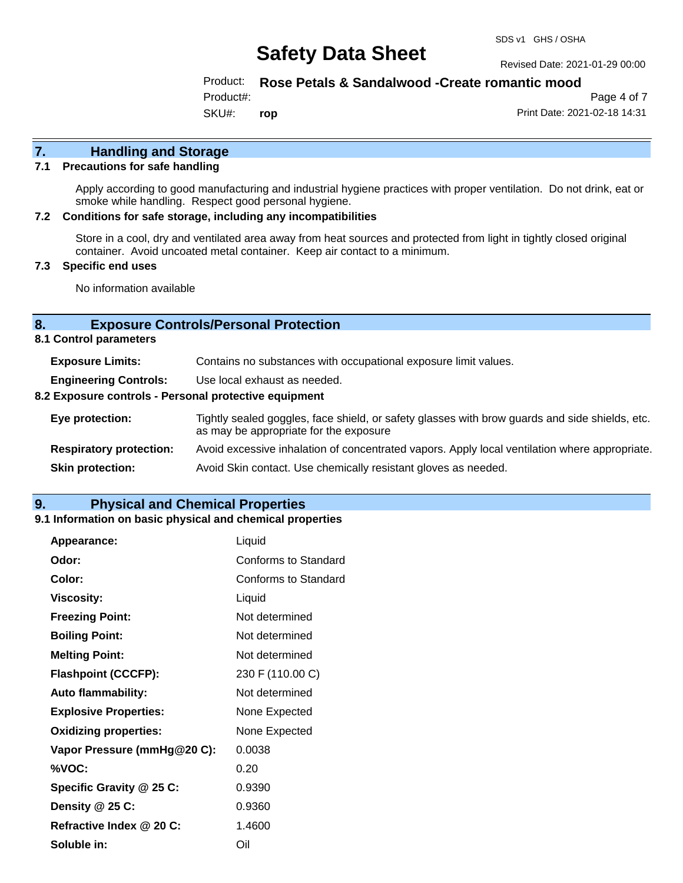#### Revised Date: 2021-01-29 00:00

### Product: **Rose Petals & Sandalwood -Create romantic mood**

Product#:

SKU#: **rop**

Page 4 of 7 Print Date: 2021-02-18 14:31

**7. Handling and Storage** 

## **7.1 Precautions for safe handling**

Apply according to good manufacturing and industrial hygiene practices with proper ventilation. Do not drink, eat or smoke while handling. Respect good personal hygiene.

## **7.2 Conditions for safe storage, including any incompatibilities**

Store in a cool, dry and ventilated area away from heat sources and protected from light in tightly closed original container. Avoid uncoated metal container. Keep air contact to a minimum.

## **7.3 Specific end uses**

No information available

# **8. Exposure Controls/Personal Protection**

**8.1 Control parameters**

| <b>Exposure Limits:</b>                               | Contains no substances with occupational exposure limit values.                                                                          |  |
|-------------------------------------------------------|------------------------------------------------------------------------------------------------------------------------------------------|--|
| <b>Engineering Controls:</b>                          | Use local exhaust as needed.                                                                                                             |  |
| 8.2 Exposure controls - Personal protective equipment |                                                                                                                                          |  |
| Eye protection:                                       | Tightly sealed goggles, face shield, or safety glasses with brow guards and side shields, etc.<br>as may be appropriate for the exposure |  |
| <b>Respiratory protection:</b>                        | Avoid excessive inhalation of concentrated vapors. Apply local ventilation where appropriate.                                            |  |
| <b>Skin protection:</b>                               | Avoid Skin contact. Use chemically resistant gloves as needed.                                                                           |  |

### **9. Physical and Chemical Properties**

#### **9.1 Information on basic physical and chemical properties**

| <b>Appearance:</b>           | Liquid               |
|------------------------------|----------------------|
| Odor:                        | Conforms to Standard |
| Color:                       | Conforms to Standard |
| <b>Viscosity:</b>            | Liquid               |
| <b>Freezing Point:</b>       | Not determined       |
| <b>Boiling Point:</b>        | Not determined       |
| <b>Melting Point:</b>        | Not determined       |
| <b>Flashpoint (CCCFP):</b>   | 230 F (110.00 C)     |
| <b>Auto flammability:</b>    | Not determined       |
| <b>Explosive Properties:</b> | None Expected        |
| <b>Oxidizing properties:</b> | None Expected        |
| Vapor Pressure (mmHg@20 C):  | 0.0038               |
| %VOC:                        | 0.20                 |
| Specific Gravity @ 25 C:     | 0.9390               |
| Density @ 25 C:              | 0.9360               |
| Refractive Index @ 20 C:     | 1.4600               |
| Soluble in:                  | Oil                  |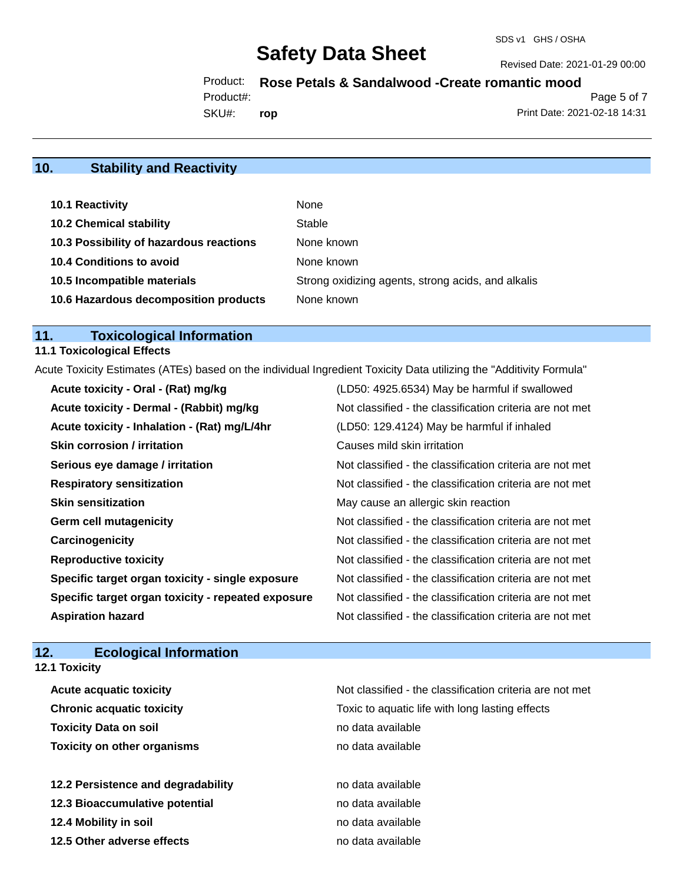#### Revised Date: 2021-01-29 00:00

Product: **Rose Petals & Sandalwood -Create romantic mood**

Product#:

SKU#: **rop**

Page 5 of 7 Print Date: 2021-02-18 14:31

# **10. Stability and Reactivity**

| 10.1 Reactivity                         | None                                               |
|-----------------------------------------|----------------------------------------------------|
| <b>10.2 Chemical stability</b>          | Stable                                             |
| 10.3 Possibility of hazardous reactions | None known                                         |
| <b>10.4 Conditions to avoid</b>         | None known                                         |
| 10.5 Incompatible materials             | Strong oxidizing agents, strong acids, and alkalis |
| 10.6 Hazardous decomposition products   | None known                                         |

# **11. Toxicological Information**

### **11.1 Toxicological Effects**

Acute Toxicity Estimates (ATEs) based on the individual Ingredient Toxicity Data utilizing the "Additivity Formula"

| Acute toxicity - Oral - (Rat) mg/kg                | (LD50: 4925.6534) May be harmful if swallowed            |
|----------------------------------------------------|----------------------------------------------------------|
| Acute toxicity - Dermal - (Rabbit) mg/kg           | Not classified - the classification criteria are not met |
| Acute toxicity - Inhalation - (Rat) mg/L/4hr       | (LD50: 129.4124) May be harmful if inhaled               |
| <b>Skin corrosion / irritation</b>                 | Causes mild skin irritation                              |
| Serious eye damage / irritation                    | Not classified - the classification criteria are not met |
| <b>Respiratory sensitization</b>                   | Not classified - the classification criteria are not met |
| <b>Skin sensitization</b>                          | May cause an allergic skin reaction                      |
| <b>Germ cell mutagenicity</b>                      | Not classified - the classification criteria are not met |
| Carcinogenicity                                    | Not classified - the classification criteria are not met |
| <b>Reproductive toxicity</b>                       | Not classified - the classification criteria are not met |
| Specific target organ toxicity - single exposure   | Not classified - the classification criteria are not met |
| Specific target organ toxicity - repeated exposure | Not classified - the classification criteria are not met |
| <b>Aspiration hazard</b>                           | Not classified - the classification criteria are not met |

# **12. Ecological Information**

| <b>12.1 Toxicity</b>               |                                                          |
|------------------------------------|----------------------------------------------------------|
| <b>Acute acquatic toxicity</b>     | Not classified - the classification criteria are not met |
| <b>Chronic acquatic toxicity</b>   | Toxic to aquatic life with long lasting effects          |
| <b>Toxicity Data on soil</b>       | no data available                                        |
| <b>Toxicity on other organisms</b> | no data available                                        |
| 12.2 Persistence and degradability | no data available                                        |
| 12.3 Bioaccumulative potential     | no data available                                        |
| 12.4 Mobility in soil              | no data available                                        |
| 12.5 Other adverse effects         | no data available                                        |
|                                    |                                                          |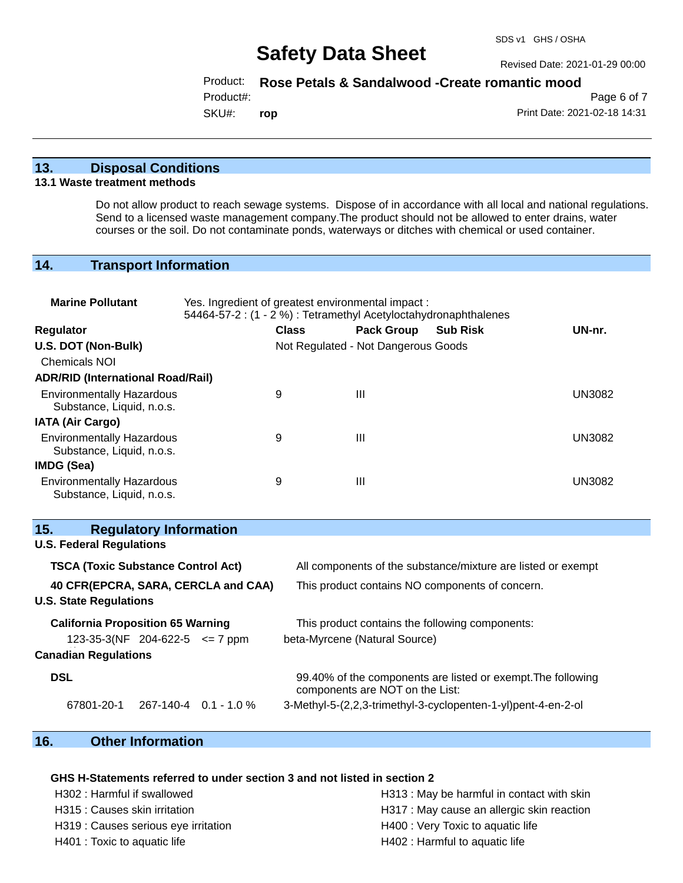Revised Date: 2021-01-29 00:00

### Product: **Rose Petals & Sandalwood -Create romantic mood**

Product#:

SKU#: **rop**

Page 6 of 7 Print Date: 2021-02-18 14:31

## **13. Disposal Conditions**

#### **13.1 Waste treatment methods**

Do not allow product to reach sewage systems. Dispose of in accordance with all local and national regulations. Send to a licensed waste management company.The product should not be allowed to enter drains, water courses or the soil. Do not contaminate ponds, waterways or ditches with chemical or used container.

## **14. Transport Information**

| <b>Marine Pollutant</b>                                                 | Yes. Ingredient of greatest environmental impact:<br>54464-57-2 : (1 - 2 %) : Tetramethyl Acetyloctahydronaphthalenes |                                     |                                 |                                                               |               |
|-------------------------------------------------------------------------|-----------------------------------------------------------------------------------------------------------------------|-------------------------------------|---------------------------------|---------------------------------------------------------------|---------------|
| Regulator                                                               |                                                                                                                       | <b>Class</b>                        | <b>Pack Group</b>               | <b>Sub Risk</b>                                               | UN-nr.        |
| U.S. DOT (Non-Bulk)                                                     |                                                                                                                       | Not Regulated - Not Dangerous Goods |                                 |                                                               |               |
| <b>Chemicals NOI</b>                                                    |                                                                                                                       |                                     |                                 |                                                               |               |
| <b>ADR/RID (International Road/Rail)</b>                                |                                                                                                                       |                                     |                                 |                                                               |               |
| <b>Environmentally Hazardous</b><br>Substance, Liquid, n.o.s.           |                                                                                                                       | 9                                   | III                             |                                                               | <b>UN3082</b> |
| <b>IATA (Air Cargo)</b>                                                 |                                                                                                                       |                                     |                                 |                                                               |               |
| <b>Environmentally Hazardous</b><br>Substance, Liquid, n.o.s.           |                                                                                                                       | 9                                   | Ш                               |                                                               | <b>UN3082</b> |
| IMDG (Sea)                                                              |                                                                                                                       |                                     |                                 |                                                               |               |
| <b>Environmentally Hazardous</b><br>Substance, Liquid, n.o.s.           |                                                                                                                       | 9                                   | $\mathbf{III}$                  |                                                               | <b>UN3082</b> |
| 15.<br><b>Regulatory Information</b><br><b>U.S. Federal Regulations</b> |                                                                                                                       |                                     |                                 |                                                               |               |
|                                                                         |                                                                                                                       |                                     |                                 |                                                               |               |
| <b>TSCA (Toxic Substance Control Act)</b>                               |                                                                                                                       |                                     |                                 | All components of the substance/mixture are listed or exempt  |               |
| 40 CFR(EPCRA, SARA, CERCLA and CAA)<br><b>U.S. State Regulations</b>    |                                                                                                                       |                                     |                                 | This product contains NO components of concern.               |               |
| <b>California Proposition 65 Warning</b>                                |                                                                                                                       |                                     |                                 | This product contains the following components:               |               |
| 123-35-3(NF 204-622-5 $\le$ 7 ppm                                       |                                                                                                                       |                                     | beta-Myrcene (Natural Source)   |                                                               |               |
| <b>Canadian Regulations</b>                                             |                                                                                                                       |                                     |                                 |                                                               |               |
| <b>DSL</b>                                                              |                                                                                                                       |                                     | components are NOT on the List: | 99.40% of the components are listed or exempt. The following  |               |
| 67801-20-1                                                              | $267 - 140 - 4$ 0.1 - 1.0 %                                                                                           |                                     |                                 | 3-Methyl-5-(2,2,3-trimethyl-3-cyclopenten-1-yl)pent-4-en-2-ol |               |

# **16. Other Information**

#### **GHS H-Statements referred to under section 3 and not listed in section 2**

H319 : Causes serious eye irritation H400 : Very Toxic to aquatic life

H302 : Harmful if swallowed H313 : May be harmful in contact with skin H315 : Causes skin irritation extended the H317 : May cause an allergic skin reaction H401 : Toxic to aquatic life **H402** : Harmful to aquatic life